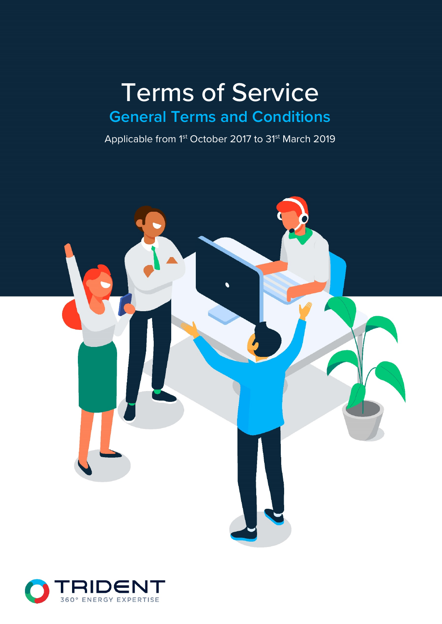# Terms of Service **General Terms and Conditions**

Applicable from 1<sup>st</sup> October 2017 to 31<sup>st</sup> March 2019



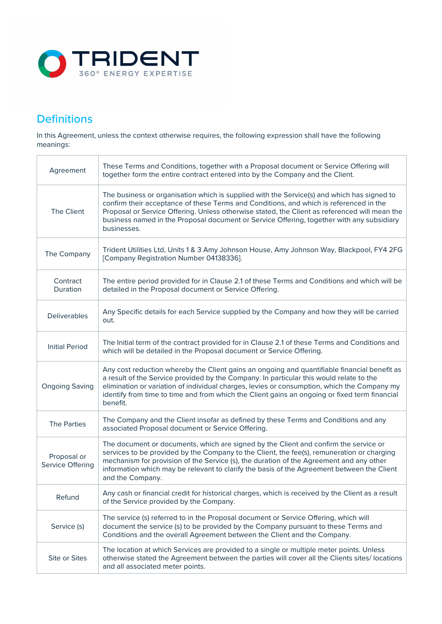

## **Definitions**

In this Agreement, unless the context otherwise requires, the following expression shall have the following meanings:

| Agreement                       | These Terms and Conditions, together with a Proposal document or Service Offering will<br>together form the entire contract entered into by the Company and the Client.                                                                                                                                                                                                                             |
|---------------------------------|-----------------------------------------------------------------------------------------------------------------------------------------------------------------------------------------------------------------------------------------------------------------------------------------------------------------------------------------------------------------------------------------------------|
| The Client                      | The business or organisation which is supplied with the Service(s) and which has signed to<br>confirm their acceptance of these Terms and Conditions, and which is referenced in the<br>Proposal or Service Offering. Unless otherwise stated, the Client as referenced will mean the<br>business named in the Proposal document or Service Offering, together with any subsidiary<br>businesses.   |
| The Company                     | Trident Utilities Ltd, Units 1 & 3 Amy Johnson House, Amy Johnson Way, Blackpool, FY4 2FG<br>[Company Registration Number 04138336].                                                                                                                                                                                                                                                                |
| Contract<br>Duration            | The entire period provided for in Clause 2.1 of these Terms and Conditions and which will be<br>detailed in the Proposal document or Service Offering.                                                                                                                                                                                                                                              |
| <b>Deliverables</b>             | Any Specific details for each Service supplied by the Company and how they will be carried<br>out.                                                                                                                                                                                                                                                                                                  |
| <b>Initial Period</b>           | The Initial term of the contract provided for in Clause 2.1 of these Terms and Conditions and<br>which will be detailed in the Proposal document or Service Offering.                                                                                                                                                                                                                               |
| <b>Ongoing Saving</b>           | Any cost reduction whereby the Client gains an ongoing and quantifiable financial benefit as<br>a result of the Service provided by the Company. In particular this would relate to the<br>elimination or variation of individual charges, levies or consumption, which the Company my<br>identify from time to time and from which the Client gains an ongoing or fixed term financial<br>benefit. |
| <b>The Parties</b>              | The Company and the Client insofar as defined by these Terms and Conditions and any<br>associated Proposal document or Service Offering.                                                                                                                                                                                                                                                            |
| Proposal or<br>Service Offering | The document or documents, which are signed by the Client and confirm the service or<br>services to be provided by the Company to the Client, the fee(s), remuneration or charging<br>mechanism for provision of the Service (s), the duration of the Agreement and any other<br>information which may be relevant to clarify the basis of the Agreement between the Client<br>and the Company.     |
| Refund                          | Any cash or financial credit for historical charges, which is received by the Client as a result<br>of the Service provided by the Company.                                                                                                                                                                                                                                                         |
| Service (s)                     | The service (s) referred to in the Proposal document or Service Offering, which will<br>document the service (s) to be provided by the Company pursuant to these Terms and<br>Conditions and the overall Agreement between the Client and the Company.                                                                                                                                              |
| Site or Sites                   | The location at which Services are provided to a single or multiple meter points. Unless<br>otherwise stated the Agreement between the parties will cover all the Clients sites/ locations<br>and all associated meter points.                                                                                                                                                                      |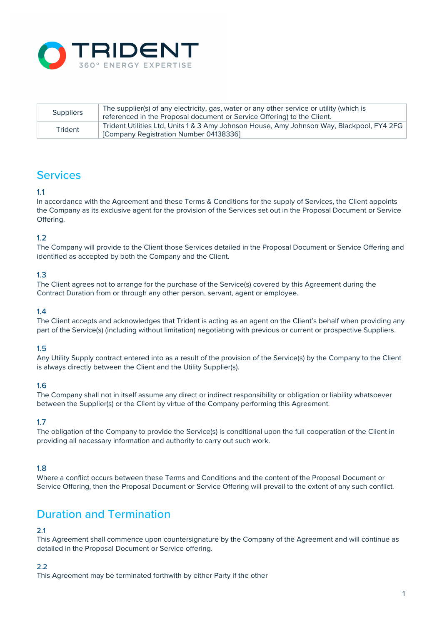

| <b>Suppliers</b> | The supplier(s) of any electricity, gas, water or any other service or utility (which is<br>referenced in the Proposal document or Service Offering) to the Client. |
|------------------|---------------------------------------------------------------------------------------------------------------------------------------------------------------------|
| Trident          | Trident Utilities Ltd, Units 1 & 3 Amy Johnson House, Amy Johnson Way, Blackpool, FY4 2FG<br>[Company Registration Number 04138336]                                 |

# Services

### 1.1

In accordance with the Agreement and these Terms & Conditions for the supply of Services, the Client appoints the Company as its exclusive agent for the provision of the Services set out in the Proposal Document or Service Offering.

### 1.2

The Company will provide to the Client those Services detailed in the Proposal Document or Service Offering and identified as accepted by both the Company and the Client.

### 1.3

The Client agrees not to arrange for the purchase of the Service(s) covered by this Agreement during the Contract Duration from or through any other person, servant, agent or employee.

### 1.4

The Client accepts and acknowledges that Trident is acting as an agent on the Client's behalf when providing any part of the Service(s) (including without limitation) negotiating with previous or current or prospective Suppliers.

### 1.5

Any Utility Supply contract entered into as a result of the provision of the Service(s) by the Company to the Client is always directly between the Client and the Utility Supplier(s).

### 1.6

The Company shall not in itself assume any direct or indirect responsibility or obligation or liability whatsoever between the Supplier(s) or the Client by virtue of the Company performing this Agreement.

### 1.7

The obligation of the Company to provide the Service(s) is conditional upon the full cooperation of the Client in providing all necessary information and authority to carry out such work.

### 1.8

Where a conflict occurs between these Terms and Conditions and the content of the Proposal Document or Service Offering, then the Proposal Document or Service Offering will prevail to the extent of any such conflict.

### Duration and Termination

### 2.1

This Agreement shall commence upon countersignature by the Company of the Agreement and will continue as detailed in the Proposal Document or Service offering.

### $2.2$

This Agreement may be terminated forthwith by either Party if the other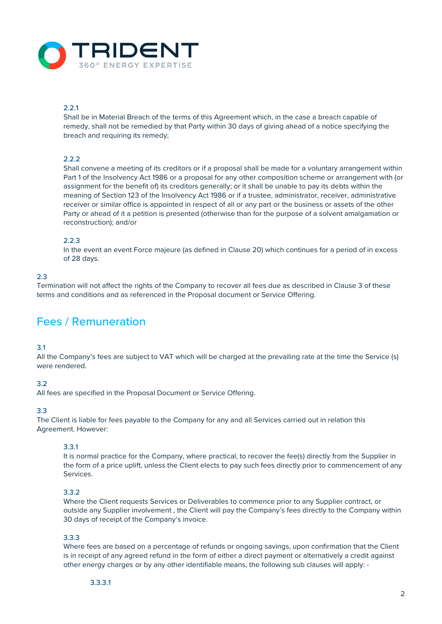

### 2.2.1

Shall be in Material Breach of the terms of this Agreement which, in the case a breach capable of remedy, shall not be remedied by that Party within 30 days of giving ahead of a notice specifying the breach and requiring its remedy;

### $2.2.2$

Shall convene a meeting of its creditors or if a proposal shall be made for a voluntary arrangement within Part 1 of the Insolvency Act 1986 or a proposal for any other composition scheme or arrangement with (or assignment for the benefit of) its creditors generally; or it shall be unable to pay its debts within the meaning of Section 123 of the Insolvency Act 1986 or if a trustee, administrator, receiver, administrative receiver or similar office is appointed in respect of all or any part or the business or assets of the other Party or ahead of it a petition is presented (otherwise than for the purpose of a solvent amalgamation or reconstruction); and/or

### 2.2.3

In the event an event Force majeure (as defined in Clause 20) which continues for a period of in excess of 28 days.

#### 2.3

Termination will not affect the rights of the Company to recover all fees due as described in Clause 3 of these terms and conditions and as referenced in the Proposal document or Service Offering.

### Fees / Remuneration

#### 3.1

All the Company's fees are subject to VAT which will be charged at the prevailing rate at the time the Service (s) were rendered.

### 3.2

All fees are specified in the Proposal Document or Service Offering.

### 3.3

The Client is liable for fees payable to the Company for any and all Services carried out in relation this Agreement. However:

#### 3.3.1

It is normal practice for the Company, where practical, to recover the fee(s) directly from the Supplier in the form of a price uplift, unless the Client elects to pay such fees directly prior to commencement of any Services.

#### 3.3.2

Where the Client requests Services or Deliverables to commence prior to any Supplier contract, or outside any Supplier involvement , the Client will pay the Company's fees directly to the Company within 30 days of receipt of the Company's invoice.

#### 3.3.3

Where fees are based on a percentage of refunds or ongoing savings, upon confirmation that the Client is in receipt of any agreed refund in the form of either a direct payment or alternatively a credit against other energy charges or by any other identifiable means, the following sub clauses will apply: -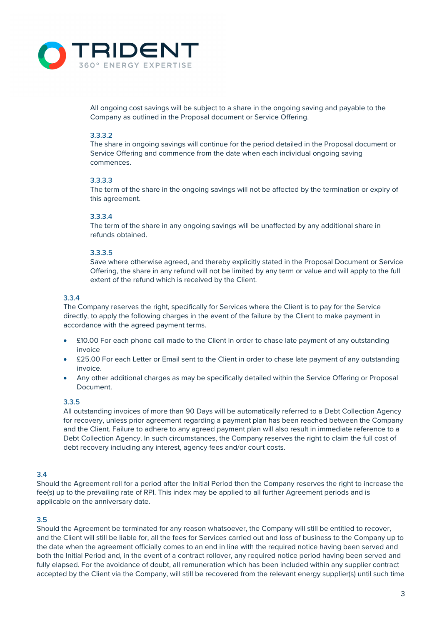

All ongoing cost savings will be subject to a share in the ongoing saving and payable to the Company as outlined in the Proposal document or Service Offering.

### 3.3.3.2

The share in ongoing savings will continue for the period detailed in the Proposal document or Service Offering and commence from the date when each individual ongoing saving commences.

### 3.3.3.3

The term of the share in the ongoing savings will not be affected by the termination or expiry of this agreement.

### 3.3.3.4

The term of the share in any ongoing savings will be unaffected by any additional share in refunds obtained.

### 3.3.3.5

Save where otherwise agreed, and thereby explicitly stated in the Proposal Document or Service Offering, the share in any refund will not be limited by any term or value and will apply to the full extent of the refund which is received by the Client.

### 3.3.4

The Company reserves the right, specifically for Services where the Client is to pay for the Service directly, to apply the following charges in the event of the failure by the Client to make payment in accordance with the agreed payment terms.

- £10.00 For each phone call made to the Client in order to chase late payment of any outstanding invoice
- £25.00 For each Letter or Email sent to the Client in order to chase late payment of any outstanding invoice.
- Any other additional charges as may be specifically detailed within the Service Offering or Proposal Document.

### 3.3.5

All outstanding invoices of more than 90 Days will be automatically referred to a Debt Collection Agency for recovery, unless prior agreement regarding a payment plan has been reached between the Company and the Client. Failure to adhere to any agreed payment plan will also result in immediate reference to a Debt Collection Agency. In such circumstances, the Company reserves the right to claim the full cost of debt recovery including any interest, agency fees and/or court costs.

### 3.4

Should the Agreement roll for a period after the Initial Period then the Company reserves the right to increase the fee(s) up to the prevailing rate of RPI. This index may be applied to all further Agreement periods and is applicable on the anniversary date.

### 3.5

Should the Agreement be terminated for any reason whatsoever, the Company will still be entitled to recover, and the Client will still be liable for, all the fees for Services carried out and loss of business to the Company up to the date when the agreement officially comes to an end in line with the required notice having been served and both the Initial Period and, in the event of a contract rollover, any required notice period having been served and fully elapsed. For the avoidance of doubt, all remuneration which has been included within any supplier contract accepted by the Client via the Company, will still be recovered from the relevant energy supplier(s) until such time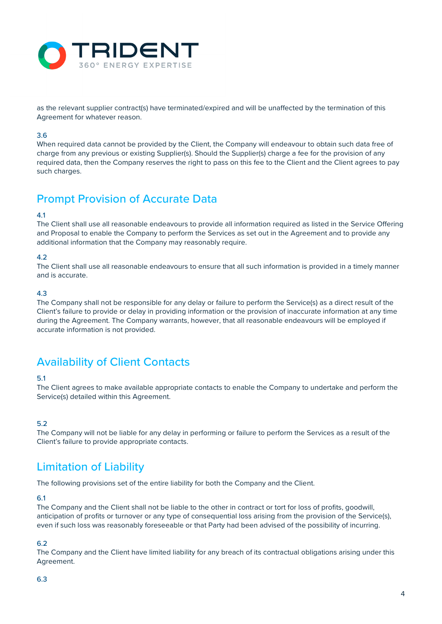

as the relevant supplier contract(s) have terminated/expired and will be unaffected by the termination of this Agreement for whatever reason.

### 3.6

When required data cannot be provided by the Client, the Company will endeavour to obtain such data free of charge from any previous or existing Supplier(s). Should the Supplier(s) charge a fee for the provision of any required data, then the Company reserves the right to pass on this fee to the Client and the Client agrees to pay such charges.

### Prompt Provision of Accurate Data

### 4.1

The Client shall use all reasonable endeavours to provide all information required as listed in the Service Offering and Proposal to enable the Company to perform the Services as set out in the Agreement and to provide any additional information that the Company may reasonably require.

### 4.2

The Client shall use all reasonable endeavours to ensure that all such information is provided in a timely manner and is accurate.

### 4.3

The Company shall not be responsible for any delay or failure to perform the Service(s) as a direct result of the Client's failure to provide or delay in providing information or the provision of inaccurate information at any time during the Agreement. The Company warrants, however, that all reasonable endeavours will be employed if accurate information is not provided.

### Availability of Client Contacts

### 5.1

The Client agrees to make available appropriate contacts to enable the Company to undertake and perform the Service(s) detailed within this Agreement.

### 5.2

The Company will not be liable for any delay in performing or failure to perform the Services as a result of the Client's failure to provide appropriate contacts.

## Limitation of Liability

The following provisions set of the entire liability for both the Company and the Client.

### 6.1

The Company and the Client shall not be liable to the other in contract or tort for loss of profits, goodwill, anticipation of profits or turnover or any type of consequential loss arising from the provision of the Service(s), even if such loss was reasonably foreseeable or that Party had been advised of the possibility of incurring.

### 6.2

The Company and the Client have limited liability for any breach of its contractual obligations arising under this Agreement.

### 6.3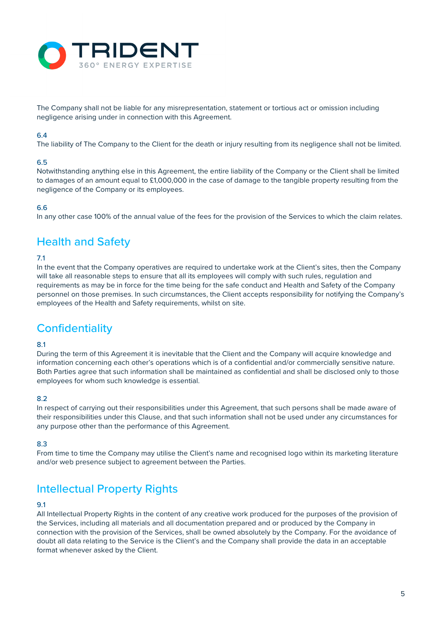

The Company shall not be liable for any misrepresentation, statement or tortious act or omission including negligence arising under in connection with this Agreement.

### 6.4

The liability of The Company to the Client for the death or injury resulting from its negligence shall not be limited.

### 6.5

Notwithstanding anything else in this Agreement, the entire liability of the Company or the Client shall be limited to damages of an amount equal to £1,000,000 in the case of damage to the tangible property resulting from the negligence of the Company or its employees.

### 6.6

In any other case 100% of the annual value of the fees for the provision of the Services to which the claim relates.

### Health and Safety

### 7.1

In the event that the Company operatives are required to undertake work at the Client's sites, then the Company will take all reasonable steps to ensure that all its employees will comply with such rules, regulation and requirements as may be in force for the time being for the safe conduct and Health and Safety of the Company personnel on those premises. In such circumstances, the Client accepts responsibility for notifying the Company's employees of the Health and Safety requirements, whilst on site.

## **Confidentiality**

### 8.1

During the term of this Agreement it is inevitable that the Client and the Company will acquire knowledge and information concerning each other's operations which is of a confidential and/or commercially sensitive nature. Both Parties agree that such information shall be maintained as confidential and shall be disclosed only to those employees for whom such knowledge is essential.

### 8.2

In respect of carrying out their responsibilities under this Agreement, that such persons shall be made aware of their responsibilities under this Clause, and that such information shall not be used under any circumstances for any purpose other than the performance of this Agreement.

### 8.3

From time to time the Company may utilise the Client's name and recognised logo within its marketing literature and/or web presence subject to agreement between the Parties.

### Intellectual Property Rights

### 9.1

All Intellectual Property Rights in the content of any creative work produced for the purposes of the provision of the Services, including all materials and all documentation prepared and or produced by the Company in connection with the provision of the Services, shall be owned absolutely by the Company. For the avoidance of doubt all data relating to the Service is the Client's and the Company shall provide the data in an acceptable format whenever asked by the Client.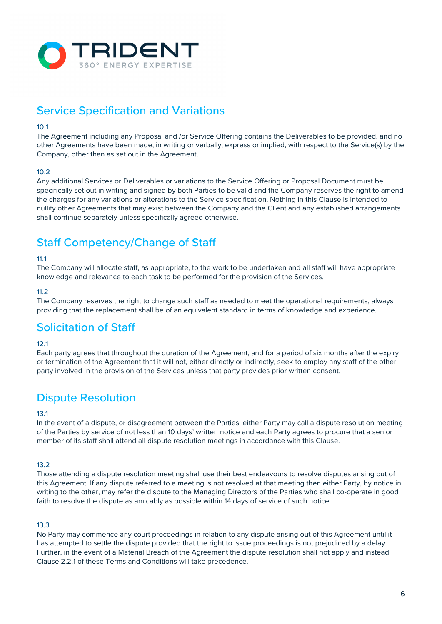

# Service Specification and Variations

### 10.1

The Agreement including any Proposal and /or Service Offering contains the Deliverables to be provided, and no other Agreements have been made, in writing or verbally, express or implied, with respect to the Service(s) by the Company, other than as set out in the Agreement.

### $10.2$

Any additional Services or Deliverables or variations to the Service Offering or Proposal Document must be specifically set out in writing and signed by both Parties to be valid and the Company reserves the right to amend the charges for any variations or alterations to the Service specification. Nothing in this Clause is intended to nullify other Agreements that may exist between the Company and the Client and any established arrangements shall continue separately unless specifically agreed otherwise.

# Staff Competency/Change of Staff

### 11.1

The Company will allocate staff, as appropriate, to the work to be undertaken and all staff will have appropriate knowledge and relevance to each task to be performed for the provision of the Services.

### 11.2

The Company reserves the right to change such staff as needed to meet the operational requirements, always providing that the replacement shall be of an equivalent standard in terms of knowledge and experience.

### Solicitation of Staff

### $12.1$

Each party agrees that throughout the duration of the Agreement, and for a period of six months after the expiry or termination of the Agreement that it will not, either directly or indirectly, seek to employ any staff of the other party involved in the provision of the Services unless that party provides prior written consent.

### Dispute Resolution

### 13.1

In the event of a dispute, or disagreement between the Parties, either Party may call a dispute resolution meeting of the Parties by service of not less than 10 days' written notice and each Party agrees to procure that a senior member of its staff shall attend all dispute resolution meetings in accordance with this Clause.

### 13.2

Those attending a dispute resolution meeting shall use their best endeavours to resolve disputes arising out of this Agreement. If any dispute referred to a meeting is not resolved at that meeting then either Party, by notice in writing to the other, may refer the dispute to the Managing Directors of the Parties who shall co-operate in good faith to resolve the dispute as amicably as possible within 14 days of service of such notice.

### 13.3

No Party may commence any court proceedings in relation to any dispute arising out of this Agreement until it has attempted to settle the dispute provided that the right to issue proceedings is not prejudiced by a delay. Further, in the event of a Material Breach of the Agreement the dispute resolution shall not apply and instead Clause 2.2.1 of these Terms and Conditions will take precedence.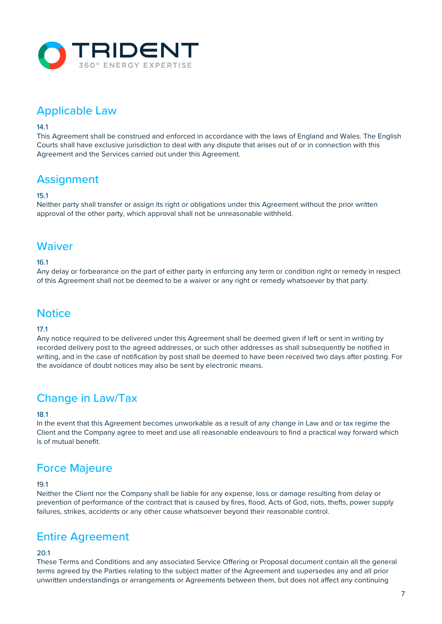

# Applicable Law

### 14.1

This Agreement shall be construed and enforced in accordance with the laws of England and Wales. The English Courts shall have exclusive jurisdiction to deal with any dispute that arises out of or in connection with this Agreement and the Services carried out under this Agreement.

# **Assignment**

### 15.1

Neither party shall transfer or assign its right or obligations under this Agreement without the prior written approval of the other party, which approval shall not be unreasonable withheld.

### **Waiver**

### 16.1

Any delay or forbearance on the part of either party in enforcing any term or condition right or remedy in respect of this Agreement shall not be deemed to be a waiver or any right or remedy whatsoever by that party.

### **Notice**

### 17.1

Any notice required to be delivered under this Agreement shall be deemed given if left or sent in writing by recorded delivery post to the agreed addresses, or such other addresses as shall subsequently be notified in writing, and in the case of notification by post shall be deemed to have been received two days after posting. For the avoidance of doubt notices may also be sent by electronic means.

### Change in Law/Tax

### 18.1

In the event that this Agreement becomes unworkable as a result of any change in Law and or tax regime the Client and the Company agree to meet and use all reasonable endeavours to find a practical way forward which is of mutual benefit.

### Force Majeure

#### 19.1

Neither the Client nor the Company shall be liable for any expense, loss or damage resulting from delay or prevention of performance of the contract that is caused by fires, flood, Acts of God, riots, thefts, power supply failures, strikes, accidents or any other cause whatsoever beyond their reasonable control.

### Entire Agreement

### 20.1

These Terms and Conditions and any associated Service Offering or Proposal document contain all the general terms agreed by the Parties relating to the subject matter of the Agreement and supersedes any and all prior unwritten understandings or arrangements or Agreements between them, but does not affect any continuing